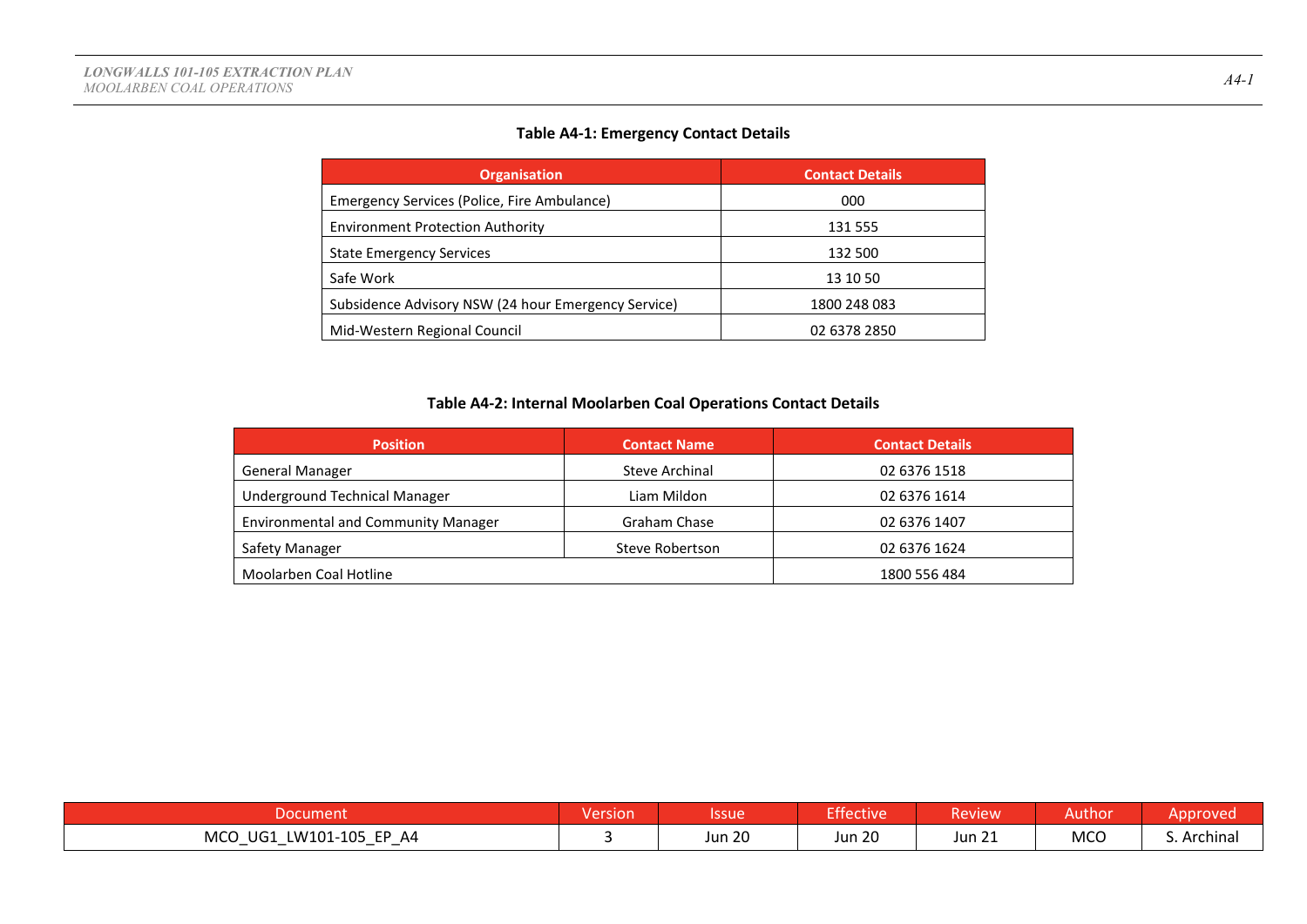### **Table A4-1: Emergency Contact Details**

| <b>Organisation</b>                                 | <b>Contact Details</b> |
|-----------------------------------------------------|------------------------|
| Emergency Services (Police, Fire Ambulance)         | 000                    |
| <b>Environment Protection Authority</b>             | 131 555                |
| <b>State Emergency Services</b>                     | 132 500                |
| Safe Work                                           | 13 10 50               |
| Subsidence Advisory NSW (24 hour Emergency Service) | 1800 248 083           |
| Mid-Western Regional Council                        | 02 6378 2850           |

### **Table A4-2: Internal Moolarben Coal Operations Contact Details**

| <b>Position</b>                            | <b>Contact Name</b>   | <b>Contact Details</b> |
|--------------------------------------------|-----------------------|------------------------|
| <b>General Manager</b>                     | <b>Steve Archinal</b> | 02 6376 1518           |
| Underground Technical Manager              | Liam Mildon           | 02 6376 1614           |
| <b>Environmental and Community Manager</b> | Graham Chase          | 02 6376 1407           |
| Safety Manager                             | Steve Robertson       | 02 6376 1624           |
| Moolarben Coal Hotline                     |                       | 1800 556 484           |

| soocum.                                                             | Version | Issue         | <b>Effective</b> | Review           | Author     | pproved.    |
|---------------------------------------------------------------------|---------|---------------|------------------|------------------|------------|-------------|
| <b>MCO</b><br>LW101-105<br>UG1<br>EP A4<br>$\overline{\phantom{0}}$ |         | <b>Jun 20</b> | <b>Jun 20</b>    | $\sim$<br>Jun 21 | <b>MCO</b> | S. Archinal |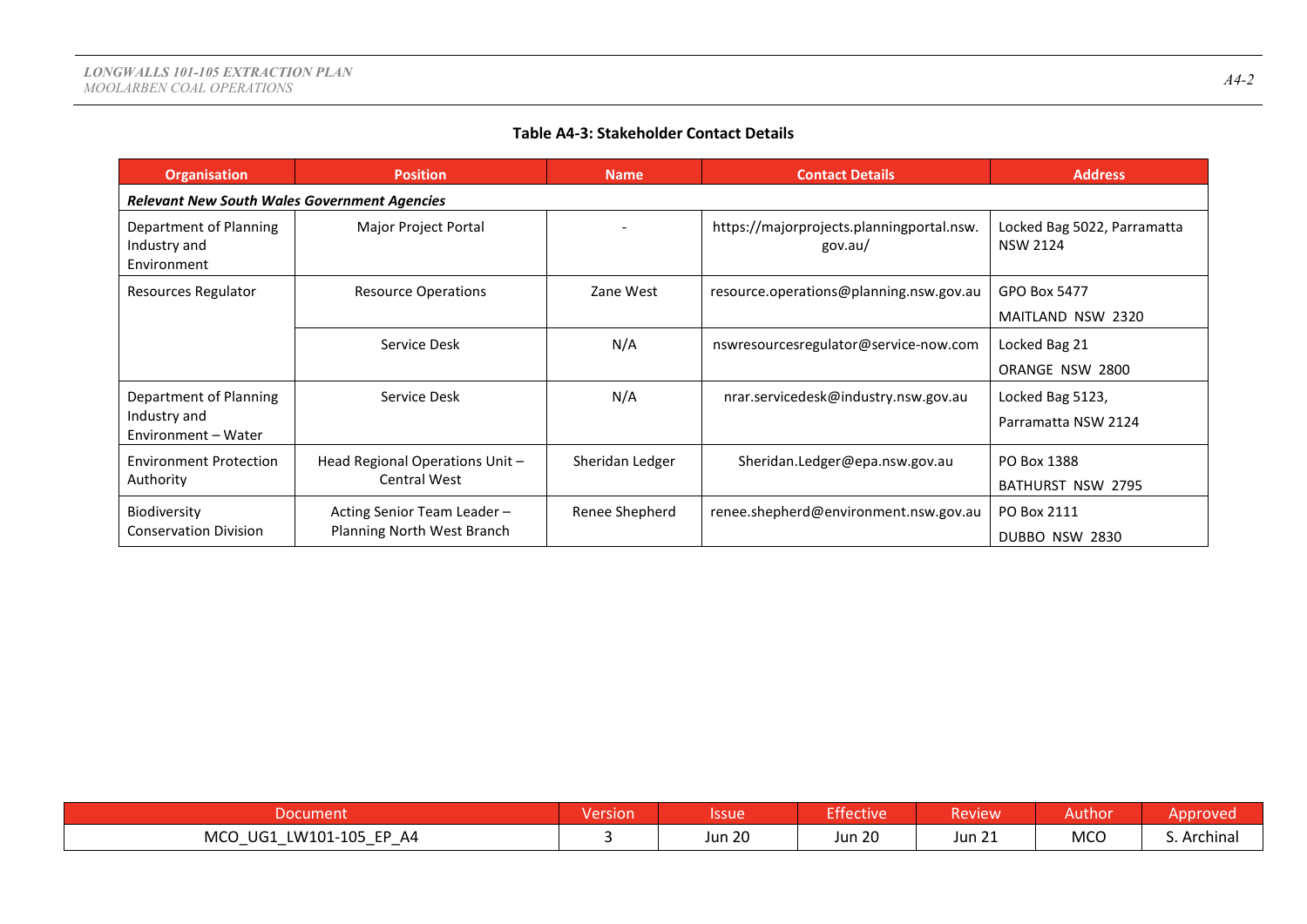### **Table A4-3: Stakeholder Contact Details**

| <b>Organisation</b>                                   | <b>Position</b>                 | <b>Name</b>     | <b>Contact Details</b>                               | <b>Address</b>                                 |
|-------------------------------------------------------|---------------------------------|-----------------|------------------------------------------------------|------------------------------------------------|
| <b>Relevant New South Wales Government Agencies</b>   |                                 |                 |                                                      |                                                |
| Department of Planning<br>Industry and<br>Environment | Major Project Portal            |                 | https://majorprojects.planningportal.nsw.<br>gov.au/ | Locked Bag 5022, Parramatta<br><b>NSW 2124</b> |
| Resources Regulator                                   | <b>Resource Operations</b>      | Zane West       | resource.operations@planning.nsw.gov.au              | GPO Box 5477                                   |
|                                                       |                                 |                 |                                                      | MAITLAND NSW 2320                              |
|                                                       | Service Desk                    | N/A             | nswresourcesregulator@service-now.com                | Locked Bag 21                                  |
|                                                       |                                 |                 |                                                      | ORANGE NSW 2800                                |
| Department of Planning                                | Service Desk                    | N/A             | nrar.servicedesk@industry.nsw.gov.au                 | Locked Bag 5123,                               |
| Industry and<br>Environment - Water                   |                                 |                 |                                                      | Parramatta NSW 2124                            |
| <b>Environment Protection</b>                         | Head Regional Operations Unit - | Sheridan Ledger | Sheridan.Ledger@epa.nsw.gov.au                       | PO Box 1388                                    |
| Authority                                             | <b>Central West</b>             |                 |                                                      | <b>BATHURST NSW 2795</b>                       |
| Biodiversity                                          | Acting Senior Team Leader -     | Renee Shepherd  | renee.shepherd@environment.nsw.gov.au                | PO Box 2111                                    |
| <b>Conservation Division</b>                          | Planning North West Branch      |                 |                                                      | DUBBO NSW 2830                                 |

| Document                                                                                                                                             | Version | Issue            | Effective           | Review <sup>1</sup>           | Author     | Approved    |
|------------------------------------------------------------------------------------------------------------------------------------------------------|---------|------------------|---------------------|-------------------------------|------------|-------------|
| <b>MCO</b><br>LW101-105 EP A4<br>UG1<br>$\overline{\phantom{0}}$<br>$\overline{\phantom{0}}$<br>$\overline{\phantom{0}}$<br>$\overline{\phantom{0}}$ |         | $\sim$<br>Jun 20 | ാറ<br><b>Jun 20</b> | $\mathbf{a}$<br><b>Jun 21</b> | <b>MCO</b> | S. Archinal |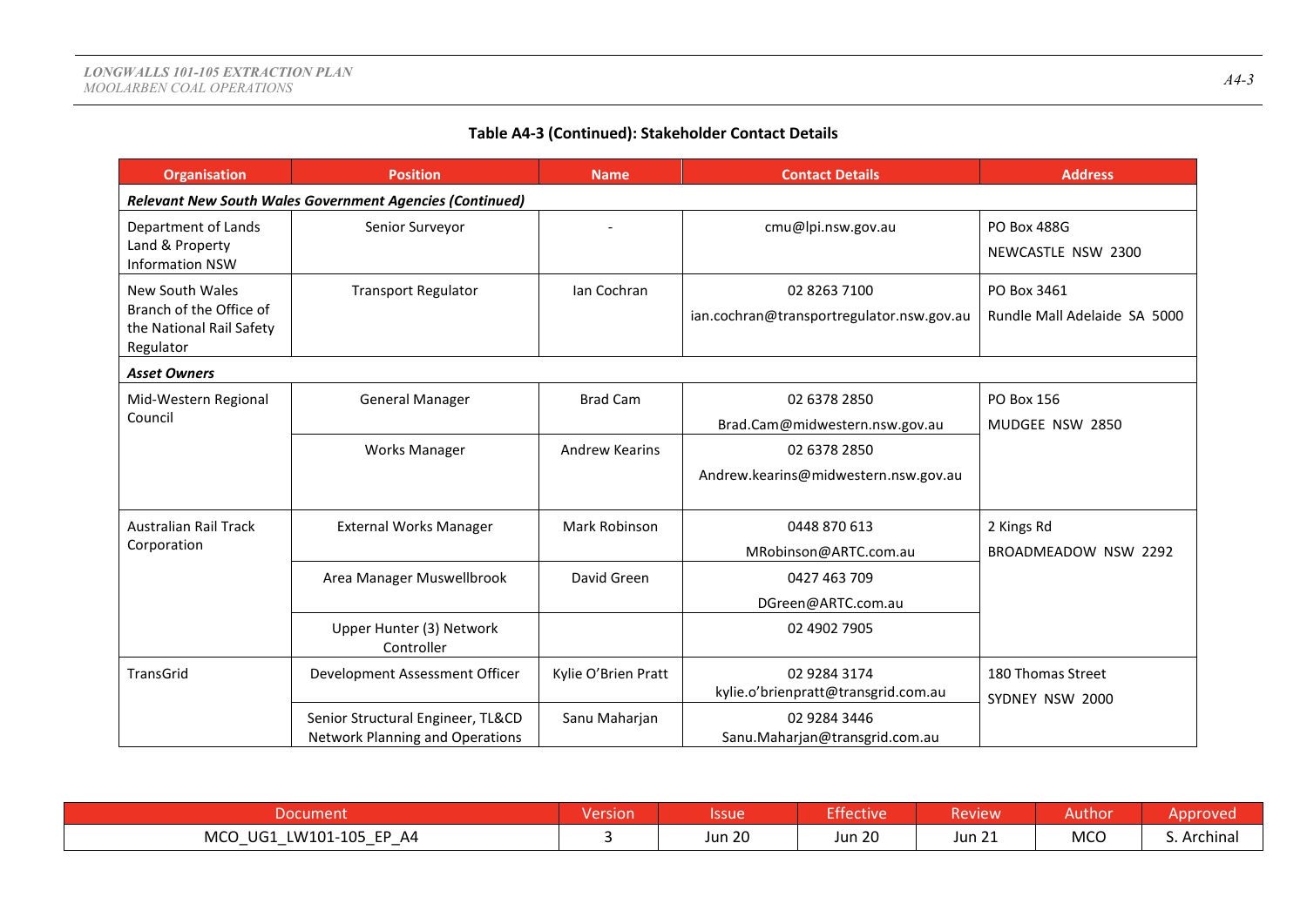# **Table A4-3 (Continued): Stakeholder Contact Details**

| <b>Organisation</b>                                                                 | <b>Position</b>                                                             | <b>Name</b>           | <b>Contact Details</b>                                    | <b>Address</b>                              |
|-------------------------------------------------------------------------------------|-----------------------------------------------------------------------------|-----------------------|-----------------------------------------------------------|---------------------------------------------|
|                                                                                     | <b>Relevant New South Wales Government Agencies (Continued)</b>             |                       |                                                           |                                             |
| Department of Lands<br>Land & Property<br><b>Information NSW</b>                    | Senior Surveyor                                                             |                       | cmu@lpi.nsw.gov.au                                        | <b>PO Box 488G</b><br>NEWCASTLE NSW 2300    |
| New South Wales<br>Branch of the Office of<br>the National Rail Safety<br>Regulator | <b>Transport Regulator</b>                                                  | Ian Cochran           | 02 8263 7100<br>ian.cochran@transportregulator.nsw.gov.au | PO Box 3461<br>Rundle Mall Adelaide SA 5000 |
| <b>Asset Owners</b>                                                                 |                                                                             |                       |                                                           |                                             |
| Mid-Western Regional<br>Council                                                     | <b>General Manager</b>                                                      | <b>Brad Cam</b>       | 02 6378 2850<br>Brad.Cam@midwestern.nsw.gov.au            | PO Box 156<br>MUDGEE NSW 2850               |
|                                                                                     | <b>Works Manager</b>                                                        | <b>Andrew Kearins</b> | 02 6378 2850<br>Andrew.kearins@midwestern.nsw.gov.au      |                                             |
| <b>Australian Rail Track</b><br>Corporation                                         | <b>External Works Manager</b>                                               | Mark Robinson         | 0448 870 613<br>MRobinson@ARTC.com.au                     | 2 Kings Rd<br>BROADMEADOW NSW 2292          |
|                                                                                     | Area Manager Muswellbrook                                                   | David Green           | 0427 463 709<br>DGreen@ARTC.com.au                        |                                             |
|                                                                                     | Upper Hunter (3) Network<br>Controller                                      |                       | 02 4902 7905                                              |                                             |
| TransGrid                                                                           | Development Assessment Officer                                              | Kylie O'Brien Pratt   | 02 9284 3174<br>kylie.o'brienpratt@transgrid.com.au       | 180 Thomas Street<br>SYDNEY NSW 2000        |
|                                                                                     | Senior Structural Engineer, TL&CD<br><b>Network Planning and Operations</b> | Sanu Maharjan         | 02 9284 3446<br>Sanu.Maharjan@transgrid.com.au            |                                             |

| <b>England</b>                                                                           | <b>Version</b> | Issue         | <b>Exercise</b> | 'Review            | Author     | pproved  |
|------------------------------------------------------------------------------------------|----------------|---------------|-----------------|--------------------|------------|----------|
| LW101-105 EP A4<br><b>MCO</b><br>UG1<br>- -<br>$\sim$ $\sim$ $\sim$ $\sim$ $\sim$ $\sim$ |                | <b>Jun 20</b> | <b>Jun 20</b>   | $\sim$ 1<br>Jun 21 | <b>MCO</b> | Archinal |